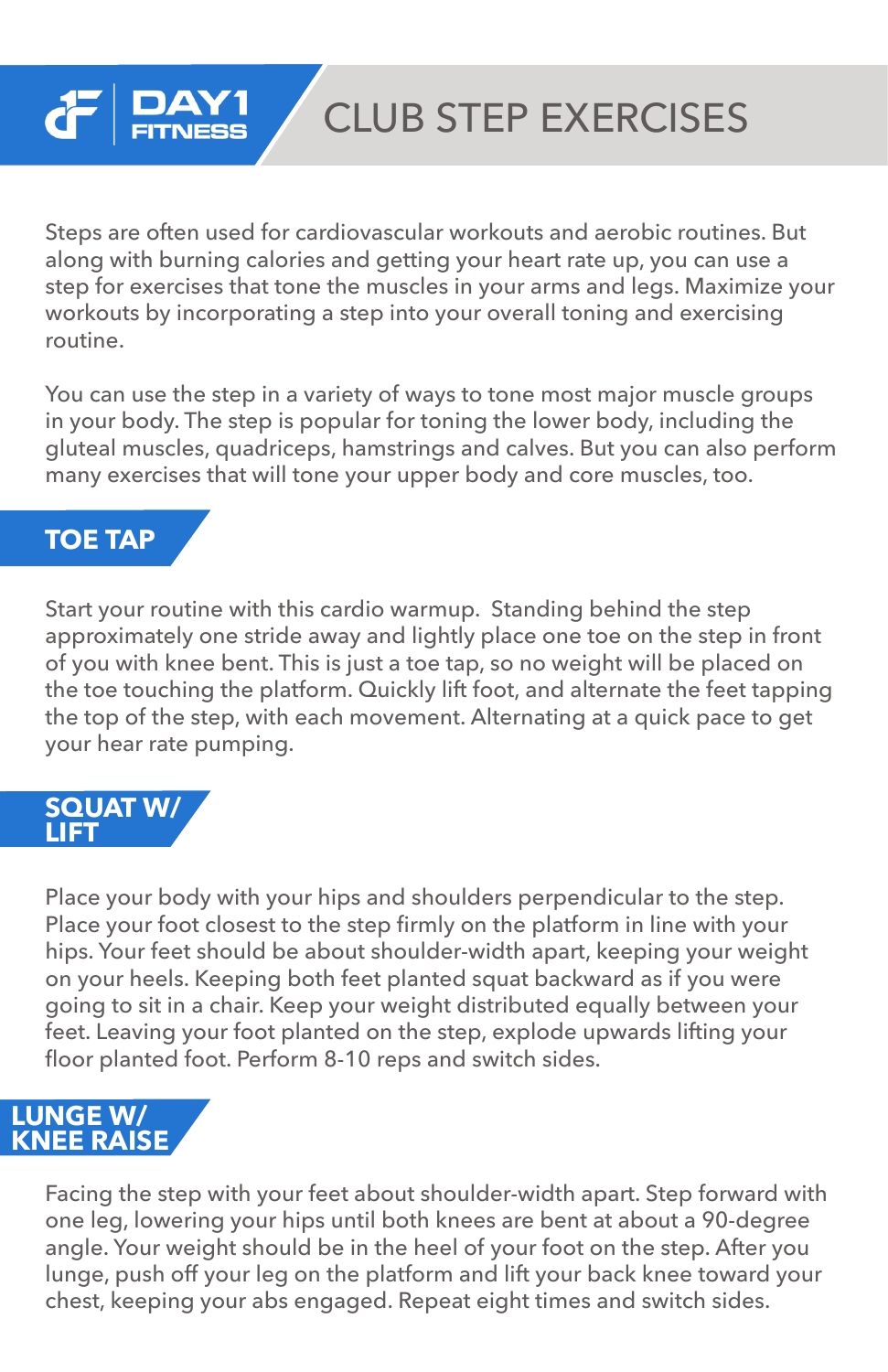### CLUB STEP EXERCISES

Steps are often used for cardiovascular workouts and aerobic routines. But along with burning calories and getting your heart rate up, you can use a step for exercises that tone the muscles in your arms and legs. Maximize your workouts by incorporating a step into your overall toning and exercising routine.

You can use the step in a variety of ways to tone most major muscle groups in your body. The step is popular for toning the lower body, including the gluteal muscles, quadriceps, hamstrings and calves. But you can also perform many exercises that will tone your upper body and core muscles, too.

### **TOE TAP**

Start your routine with this cardio warmup. Standing behind the step approximately one stride away and lightly place one toe on the step in front of you with knee bent. This is just a toe tap, so no weight will be placed on the toe touching the platform. Quickly lift foot, and alternate the feet tapping the top of the step, with each movement. Alternating at a quick pace to get your hear rate pumping.

#### **SQUAT W/ LIFT**

Place your body with your hips and shoulders perpendicular to the step. Place your foot closest to the step firmly on the platform in line with your hips. Your feet should be about shoulder-width apart, keeping your weight on your heels. Keeping both feet planted squat backward as if you were going to sit in a chair. Keep your weight distributed equally between your feet. Leaving your foot planted on the step, explode upwards lifting your floor planted foot. Perform 8-10 reps and switch sides.

#### **LUNGE W/ KNEE RAISE**

Facing the step with your feet about shoulder-width apart. Step forward with one leg, lowering your hips until both knees are bent at about a 90-degree angle. Your weight should be in the heel of your foot on the step. After you lunge, push off your leg on the platform and lift your back knee toward your chest, keeping your abs engaged. Repeat eight times and switch sides.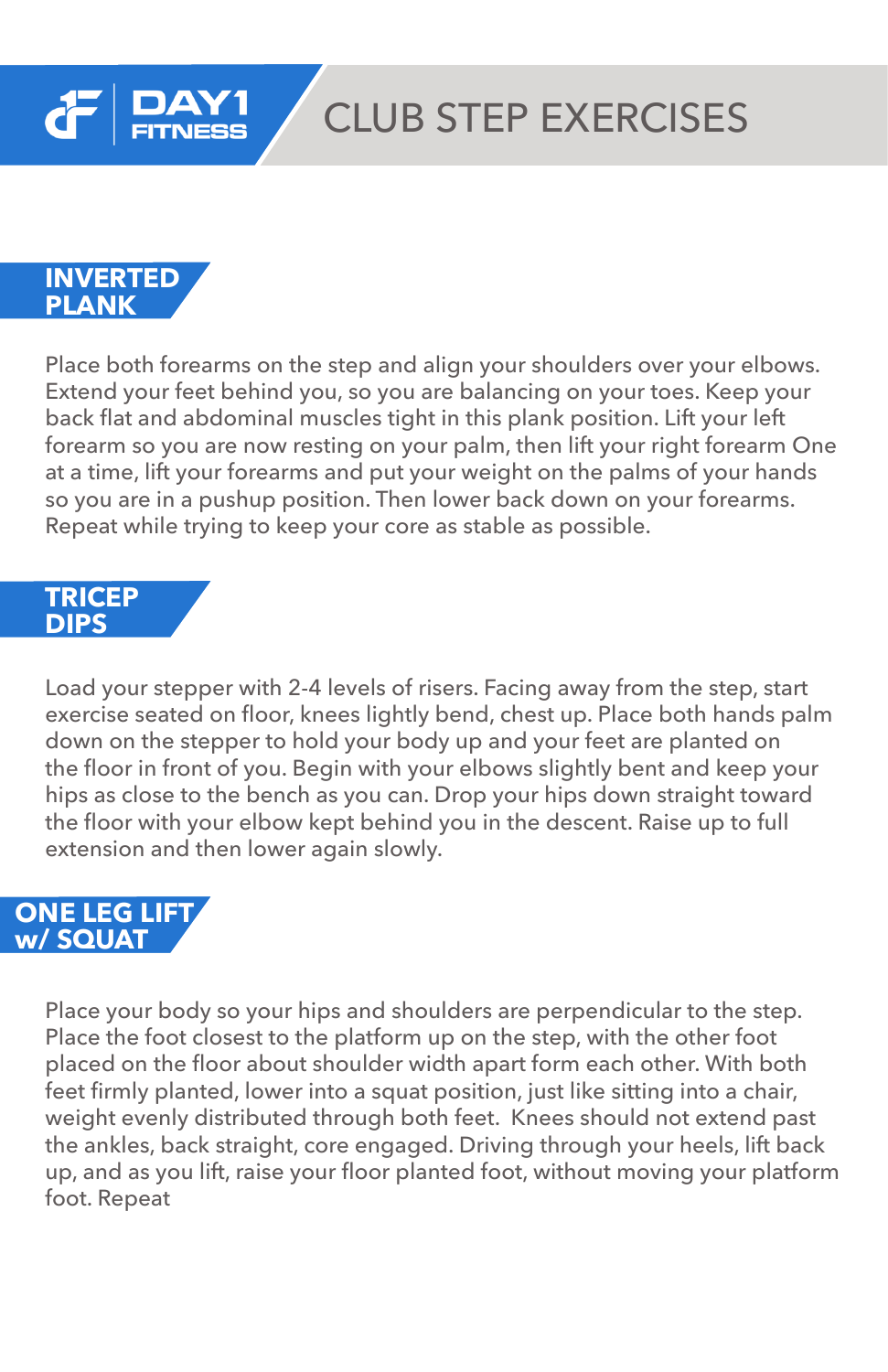

# CLUB STEP EXERCISES

**INVERTED PLANK**

Place both forearms on the step and align your shoulders over your elbows. Extend your feet behind you, so you are balancing on your toes. Keep your back flat and abdominal muscles tight in this plank position. Lift your left forearm so you are now resting on your palm, then lift your right forearm One at a time, lift your forearms and put your weight on the palms of your hands so you are in a pushup position. Then lower back down on your forearms. Repeat while trying to keep your core as stable as possible.

#### **TRICEP DIPS**

Load your stepper with 2-4 levels of risers. Facing away from the step, start exercise seated on floor, knees lightly bend, chest up. Place both hands palm down on the stepper to hold your body up and your feet are planted on the floor in front of you. Begin with your elbows slightly bent and keep your hips as close to the bench as you can. Drop your hips down straight toward the floor with your elbow kept behind you in the descent. Raise up to full extension and then lower again slowly.

### **ONE LEG LIFT w/ SQUAT**

Place your body so your hips and shoulders are perpendicular to the step. Place the foot closest to the platform up on the step, with the other foot placed on the floor about shoulder width apart form each other. With both feet firmly planted, lower into a squat position, just like sitting into a chair, weight evenly distributed through both feet. Knees should not extend past the ankles, back straight, core engaged. Driving through your heels, lift back up, and as you lift, raise your floor planted foot, without moving your platform foot. Repeat